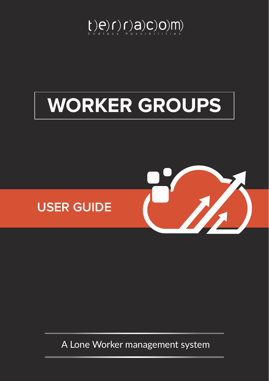

# **WORKER GROUPS**



A Lone Worker management system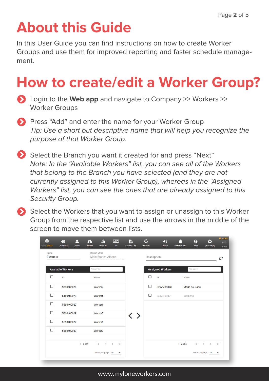## **About this Guide**

In this User Guide you can find instructions on how to create Worker Groups and use them for improved reporting and faster schedule management.

## **How to create/edit a Worker Group?**

- Login to the **Web app** and navigate to Company >> Workers >> Worker Groups
- **Press "Add" and enter the name for your Worker Group** *Tip: Use a short but descriptive name that will help you recognize the purpose of that Worker Group.*
- Select the Branch you want it created for and press "Next" *Note: In the "Available Workers" list, you can see all of the Workers that belong to the Branch you have selected (and they are not currently assigned to this Worker Group), whereas in the "Assigned Workers" list, you can see the ones that are already assigned to this Security Group.*
- Select the Workers that you want to assign or unassign to this Worker Group from the respective list and use the arrows in the middle of the screen to move them between lists.

| <b>MLW GOLD</b>         | д<br>合<br>Company<br><b>Clients</b> | A<br>孟<br>Routes<br><b>Reports</b>                                              | $\begin{picture}(20,20) \put(0,0){\line(1,0){10}} \put(15,0){\line(1,0){10}} \put(15,0){\line(1,0){10}} \put(15,0){\line(1,0){10}} \put(15,0){\line(1,0){10}} \put(15,0){\line(1,0){10}} \put(15,0){\line(1,0){10}} \put(15,0){\line(1,0){10}} \put(15,0){\line(1,0){10}} \put(15,0){\line(1,0){10}} \put(15,0){\line(1,0){10}} \put(15,0){\line(1$<br><b>BI</b> | <u>e</u><br><b>Actions Log</b> | $\mathcal{C}$<br>Refresh | $\blacktriangleleft$<br>Mute | <b>Notifications</b> | Q<br>Help            | {mycomp}                                                    | <b>U</b> GOLD<br><b>PRO</b><br><b>BASE</b> |
|-------------------------|-------------------------------------|---------------------------------------------------------------------------------|------------------------------------------------------------------------------------------------------------------------------------------------------------------------------------------------------------------------------------------------------------------------------------------------------------------------------------------------------------------|--------------------------------|--------------------------|------------------------------|----------------------|----------------------|-------------------------------------------------------------|--------------------------------------------|
| Name<br><b>Cleaners</b> |                                     | <b>Branch Office</b><br><b>Main Branch Athens</b>                               |                                                                                                                                                                                                                                                                                                                                                                  |                                | Description              |                              |                      |                      |                                                             | 7                                          |
|                         | <b>Available Workers</b>            | Search                                                                          |                                                                                                                                                                                                                                                                                                                                                                  |                                |                          | <b>Assigned Workers</b>      |                      | Search               |                                                             |                                            |
| □                       | ID                                  | Name                                                                            |                                                                                                                                                                                                                                                                                                                                                                  |                                | □                        | ID                           | <b>Name</b>          |                      |                                                             |                                            |
| □                       | 5360400024                          | Worker4                                                                         |                                                                                                                                                                                                                                                                                                                                                                  |                                | □                        | 5060400028                   |                      | <b>Maria Roussou</b> |                                                             |                                            |
| □                       | 5460400023                          | Worker <sub>5</sub>                                                             |                                                                                                                                                                                                                                                                                                                                                                  |                                | □                        | 5260400021                   | Worker <sub>3</sub>  |                      |                                                             |                                            |
| □                       | 5560400020                          | Worker <sub>6</sub>                                                             |                                                                                                                                                                                                                                                                                                                                                                  |                                |                          |                              |                      |                      |                                                             |                                            |
| □                       | 5660400029                          | Worker <sub>7</sub>                                                             |                                                                                                                                                                                                                                                                                                                                                                  | 〈 〉                            |                          |                              |                      |                      |                                                             |                                            |
| □                       | 5760400022                          | Worker8                                                                         |                                                                                                                                                                                                                                                                                                                                                                  |                                |                          |                              |                      |                      |                                                             |                                            |
| $\Box$                  | 5860400027                          | Worker9                                                                         |                                                                                                                                                                                                                                                                                                                                                                  |                                |                          |                              |                      |                      |                                                             |                                            |
|                         |                                     | $1 - 6$ of 6<br>$\vert \langle \quad \langle \quad \rangle \quad \rangle \vert$ |                                                                                                                                                                                                                                                                                                                                                                  |                                |                          |                              | $1 - 2$ of 2         |                      | $\vert \langle \vert \langle \vert \rangle \rangle \rangle$ |                                            |
|                         |                                     | Items per page: 25                                                              | $\overline{\mathbf{v}}$                                                                                                                                                                                                                                                                                                                                          |                                |                          |                              |                      | Items per page: 25   |                                                             | $\overline{\phantom{a}}$                   |

www.myloneworkers.com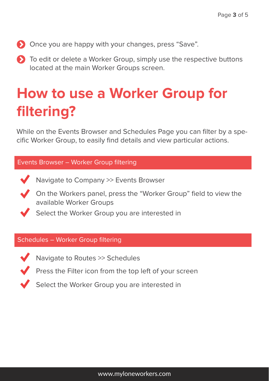- Once you are happy with your changes, press "Save".
- **To edit or delete a Worker Group, simply use the respective buttons** located at the main Worker Groups screen.

### **How to use a Worker Group for filtering?**

While on the Events Browser and Schedules Page you can filter by a specific Worker Group, to easily find details and view particular actions.

#### Events Browser – Worker Group filtering

- Navigate to Company >> Events Browser
- On the Workers panel, press the "Worker Group" field to view the available Worker Groups
	- Select the Worker Group you are interested in

#### Schedules – Worker Group filtering



- Navigate to Routes >> Schedules
- Press the Filter icon from the top left of your screen

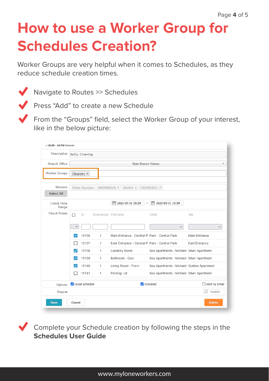### **How to use a Worker Group for Schedules Creation?**

Worker Groups are very helpful when it comes to Schedules, as they reduce schedule creation times.



Navigate to Routes >> Schedules



**Press "Add" to create a new Schedule** 

From the "Groups" field, select the Worker Group of your interest, like in the below picture:

| <b>Description</b>         |                                                      | Daily Cleaning    |   |                                                |                                           |               |  |  |  |  |
|----------------------------|------------------------------------------------------|-------------------|---|------------------------------------------------|-------------------------------------------|---------------|--|--|--|--|
| <b>Branch Office</b>       | <b>Main Branch Athens</b><br>$\overline{\mathbf{v}}$ |                   |   |                                                |                                           |               |  |  |  |  |
|                            |                                                      |                   |   |                                                |                                           |               |  |  |  |  |
| <b>Worker Groups</b>       |                                                      | Cleaners $\times$ |   |                                                |                                           |               |  |  |  |  |
| <b>Workers</b>             | Maria Roussou - 5060400028 × Worker 3 - 5260400021 × |                   |   |                                                |                                           |               |  |  |  |  |
| <b>Select All</b>          |                                                      |                   |   |                                                |                                           |               |  |  |  |  |
| <b>Check Time</b><br>Range |                                                      |                   |   | ٣<br>2022-05-31 10:29<br>$\qquad \qquad -$     | m<br>2022-05-31 10:59                     |               |  |  |  |  |
| <b>Check Points</b>        | П                                                    | ID                |   | Occurrences Point alias                        | Client                                    | Site          |  |  |  |  |
|                            | $\checkmark$                                         |                   |   |                                                | $\checkmark$                              |               |  |  |  |  |
|                            | $\checkmark$                                         | 10136             | 1 | Main Entrance - Central P; Park - Central Park |                                           | Main Entrance |  |  |  |  |
|                            |                                                      | 10137             | 1 | East Entramce - Central P. Park - Central Park |                                           | East Entrance |  |  |  |  |
|                            |                                                      | 10138             | 1 | Lavatory Room                                  | Sea Apartments - Michael Silver Apartment |               |  |  |  |  |
|                            | $\checkmark$                                         | 10139             | 1 | Bathroom - Geo                                 | Sea Apartments - Michael Silver Apartment |               |  |  |  |  |
|                            | ✓                                                    | 10140             | 1 | Living Room - Form                             | Sea Apartments - Michael Golden Apartment |               |  |  |  |  |
|                            |                                                      | 10141             | 1 | Parking Lot                                    | Sea Apartments - Michael Silver Apartment |               |  |  |  |  |
| <b>Options</b>             | Loose schedule                                       |                   |   | Activated                                      | Alert by Email                            |               |  |  |  |  |
| Repeat                     |                                                      |                   |   |                                                |                                           | 급<br>Disabled |  |  |  |  |
| <b>Save</b>                | <b>Cancel</b>                                        |                   |   |                                                |                                           | <b>Delete</b> |  |  |  |  |

Complete your Schedule creation by following the steps in the **Schedules User Guide**